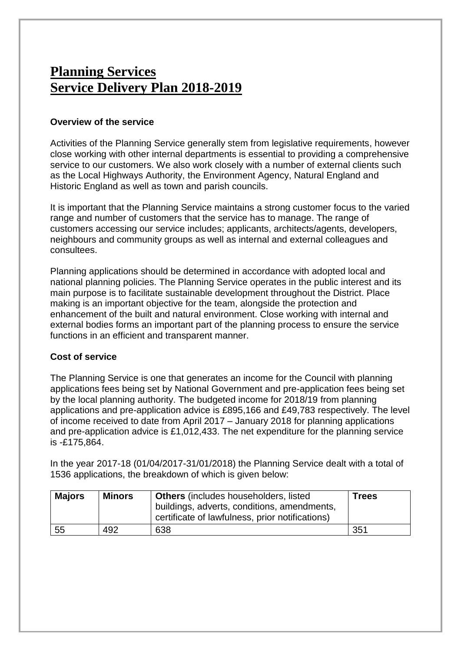# **Planning Services Service Delivery Plan 2018-2019**

#### **Overview of the service**

Activities of the Planning Service generally stem from legislative requirements, however close working with other internal departments is essential to providing a comprehensive service to our customers. We also work closely with a number of external clients such as the Local Highways Authority, the Environment Agency, Natural England and Historic England as well as town and parish councils.

It is important that the Planning Service maintains a strong customer focus to the varied range and number of customers that the service has to manage. The range of customers accessing our service includes; applicants, architects/agents, developers, neighbours and community groups as well as internal and external colleagues and consultees.

Planning applications should be determined in accordance with adopted local and national planning policies. The Planning Service operates in the public interest and its main purpose is to facilitate sustainable development throughout the District. Place making is an important objective for the team, alongside the protection and enhancement of the built and natural environment. Close working with internal and external bodies forms an important part of the planning process to ensure the service functions in an efficient and transparent manner.

#### **Cost of service**

The Planning Service is one that generates an income for the Council with planning applications fees being set by National Government and pre-application fees being set by the local planning authority. The budgeted income for 2018/19 from planning applications and pre-application advice is £895,166 and £49,783 respectively. The level of income received to date from April 2017 – January 2018 for planning applications and pre-application advice is £1,012,433. The net expenditure for the planning service is -£175,864.

In the year 2017-18 (01/04/2017-31/01/2018) the Planning Service dealt with a total of 1536 applications, the breakdown of which is given below:

| <b>Majors</b> | <b>Minors</b> | <b>Others</b> (includes householders, listed<br>buildings, adverts, conditions, amendments,<br>certificate of lawfulness, prior notifications) | <b>Trees</b>    |
|---------------|---------------|------------------------------------------------------------------------------------------------------------------------------------------------|-----------------|
| 55            | 492           | 638                                                                                                                                            | 35 <sup>1</sup> |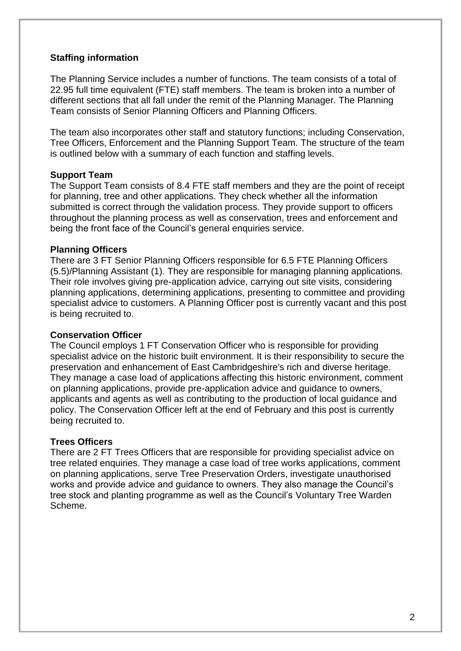### **Staffing information**

The Planning Service includes a number of functions. The team consists of a total of 22.95 full time equivalent (FTE) staff members. The team is broken into a number of different sections that all fall under the remit of the Planning Manager. The Planning Team consists of Senior Planning Officers and Planning Officers.

The team also incorporates other staff and statutory functions; including Conservation, Tree Officers, Enforcement and the Planning Support Team. The structure of the team is outlined below with a summary of each function and staffing levels.

#### **Support Team**

The Support Team consists of 8.4 FTE staff members and they are the point of receipt for planning, tree and other applications. They check whether all the information submitted is correct through the validation process. They provide support to officers throughout the planning process as well as conservation, trees and enforcement and being the front face of the Council's general enquiries service.

#### **Planning Officers**

There are 3 FT Senior Planning Officers responsible for 6.5 FTE Planning Officers (5.5)/Planning Assistant (1). They are responsible for managing planning applications. Their role involves giving pre-application advice, carrying out site visits, considering planning applications, determining applications, presenting to committee and providing specialist advice to customers. A Planning Officer post is currently vacant and this post is being recruited to.

#### **Conservation Officer**

The Council employs 1 FT Conservation Officer who is responsible for providing specialist advice on the historic built environment. It is their responsibility to secure the preservation and enhancement of East Cambridgeshire's rich and diverse heritage. They manage a case load of applications affecting this historic environment, comment on planning applications, provide pre-application advice and guidance to owners, applicants and agents as well as contributing to the production of local guidance and policy. The Conservation Officer left at the end of February and this post is currently being recruited to.

#### **Trees Officers**

There are 2 FT Trees Officers that are responsible for providing specialist advice on tree related enquiries. They manage a case load of tree works applications, comment on planning applications, serve Tree Preservation Orders, investigate unauthorised works and provide advice and guidance to owners. They also manage the Council's tree stock and planting programme as well as the Council's Voluntary Tree Warden Scheme.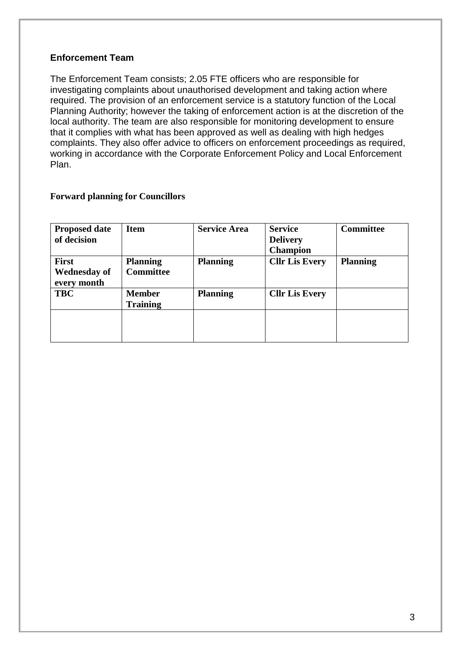### **Enforcement Team**

The Enforcement Team consists; 2.05 FTE officers who are responsible for investigating complaints about unauthorised development and taking action where required. The provision of an enforcement service is a statutory function of the Local Planning Authority; however the taking of enforcement action is at the discretion of the local authority. The team are also responsible for monitoring development to ensure that it complies with what has been approved as well as dealing with high hedges complaints. They also offer advice to officers on enforcement proceedings as required, working in accordance with the Corporate Enforcement Policy and Local Enforcement Plan.

#### **Forward planning for Councillors**

| <b>Proposed date</b> | <b>Item</b>      | <b>Service Area</b> | <b>Service</b>        | <b>Committee</b> |
|----------------------|------------------|---------------------|-----------------------|------------------|
| of decision          |                  |                     | <b>Delivery</b>       |                  |
|                      |                  |                     | <b>Champion</b>       |                  |
| <b>First</b>         | <b>Planning</b>  | <b>Planning</b>     | <b>Cllr Lis Every</b> | <b>Planning</b>  |
| <b>Wednesday of</b>  | <b>Committee</b> |                     |                       |                  |
| every month          |                  |                     |                       |                  |
| <b>TBC</b>           | <b>Member</b>    | <b>Planning</b>     | <b>Cllr Lis Every</b> |                  |
|                      | <b>Training</b>  |                     |                       |                  |
|                      |                  |                     |                       |                  |
|                      |                  |                     |                       |                  |
|                      |                  |                     |                       |                  |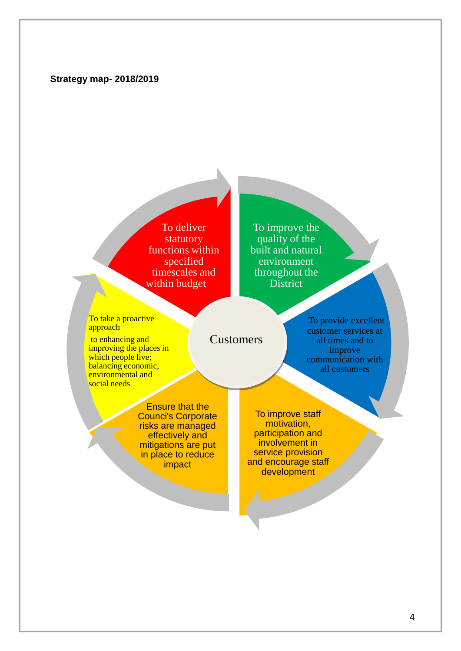#### **Strategy map- 2018/2019**

To deliver statutory functions within specified timescales and within budget

To improve the quality of the built and natural environment throughout the **District** 

To take a proactive approach

to enhancing and improving the places in which people live; balancing economic, environmental and social needs

Customers

To provide excellent customer services at all times and to improve communication with all customers

Ensure that the Counci's Corporate risks are managed effectively and mitigations are put in place to reduce impact

To improve staff motivation, participation and involvement in service provision and encourage staff development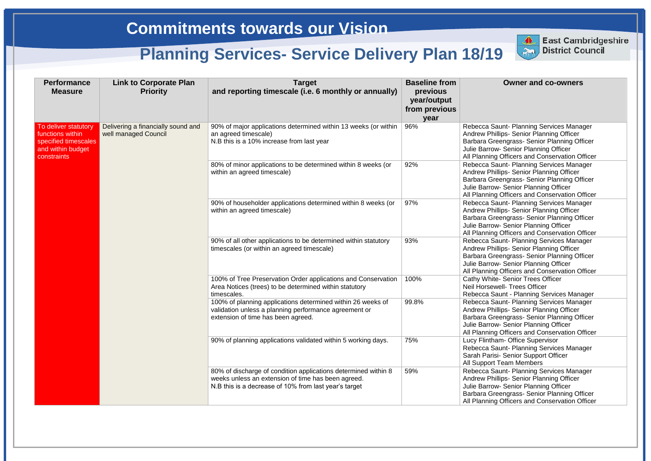### **Owner and co-owners**

Saunt- Planning Services Manager hillips- Senior Planning Officer **Breengrass- Senior Planning Officer** <sub>2</sub> Jw- Senior Planning Officer ng Officers and Conservation Officer Saunt- Planning Services Manager hillips- Senior Planning Officer **Breengrass- Senior Planning Officer** <sub>D</sub>w- Senior Planning Officer ng Officers and Conservation Officer Saunt- Planning Services Manager hillips- Senior Planning Officer **Breengrass- Senior Planning Officer Jw- Senior Planning Officer** ng Officers and Conservation Officer Saunt- Planning Services Manager hillips- Senior Planning Officer **Breengrass- Senior Planning Officer Dw- Senior Planning Officer** ng Officers and Conservation Officer ite- Senior Trees Officer **Neil- Trees Officer Saunt - Planning Services Manager** Saunt- Planning Services Manager hillips- Senior Planning Officer **Breengrass- Senior Planning Officer Julie Senior Planning Officer All Officers and Conservation Officer** ham- Office Supervisor Saunt- Planning Services Manager isi- Senior Support Officer rt Team Members Saunt- Planning Services Manager hillips- Senior Planning Officer **Dw- Senior Planning Officer I**reengrass- Senior Planning Officer **All Officers and Conservation Officer** 

| <b>Performance</b><br><b>Measure</b>                                                                 | <b>Link to Corporate Plan</b><br><b>Priority</b>           | <b>Target</b><br>and reporting timescale (i.e. 6 monthly or annually)                                                                                                         | <b>Baseline from</b><br>previous<br>year/output<br>from previous<br>year |                                                                                        |
|------------------------------------------------------------------------------------------------------|------------------------------------------------------------|-------------------------------------------------------------------------------------------------------------------------------------------------------------------------------|--------------------------------------------------------------------------|----------------------------------------------------------------------------------------|
| To deliver statutory<br>functions within<br>specified timescales<br>and within budget<br>constraints | Delivering a financially sound and<br>well managed Council | 90% of major applications determined within 13 weeks (or within<br>an agreed timescale)<br>N.B this is a 10% increase from last year                                          | 96%                                                                      | Rebecca S<br><b>Andrew Pr</b><br>Barbara G<br><b>Julie Barro</b><br>All Plannin        |
|                                                                                                      |                                                            | 80% of minor applications to be determined within 8 weeks (or<br>within an agreed timescale)                                                                                  | 92%                                                                      | Rebecca S<br><b>Andrew Pr</b><br>Barbara G<br><b>Julie Barro</b><br>All Plannin        |
|                                                                                                      |                                                            | 90% of householder applications determined within 8 weeks (or<br>within an agreed timescale)                                                                                  | 97%                                                                      | Rebecca S<br><b>Andrew Pr</b><br><b>Barbara G</b><br><b>Julie Barro</b><br>All Plannin |
|                                                                                                      |                                                            | 90% of all other applications to be determined within statutory<br>timescales (or within an agreed timescale)                                                                 | 93%                                                                      | Rebecca S<br><b>Andrew Pr</b><br>Barbara G<br><b>Julie Barro</b><br>All Plannin        |
|                                                                                                      |                                                            | 100% of Tree Preservation Order applications and Conservation<br>Area Notices (trees) to be determined within statutory<br>timescales.                                        | 100%                                                                     | <b>Cathy Whi</b><br><b>Neil Horse</b><br>Rebecca S                                     |
|                                                                                                      |                                                            | 100% of planning applications determined within 26 weeks of<br>validation unless a planning performance agreement or<br>extension of time has been agreed.                    | 99.8%                                                                    | Rebecca S<br><b>Andrew Pr</b><br>Barbara G<br><b>Julie Barro</b><br>All Plannin        |
|                                                                                                      |                                                            | 90% of planning applications validated within 5 working days.                                                                                                                 | 75%                                                                      | <b>Lucy Flinth</b><br>Rebecca S<br>Sarah Pari<br>All Suppor                            |
|                                                                                                      |                                                            | 80% of discharge of condition applications determined within 8<br>weeks unless an extension of time has been agreed.<br>N.B this is a decrease of 10% from last year's target | 59%                                                                      | Rebecca S<br><b>Andrew Pr</b><br><b>Julie Barro</b><br>Barbara G<br>All Plannin        |



**East Cambridgeshire** District Council

**East Cambridgeshire District Council**

# **Commitments towards our Vision**

# **Planning Services- Service Delivery Plan 18/19**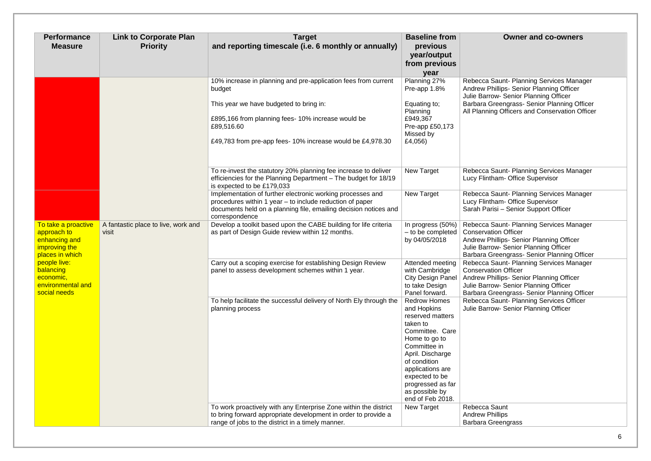| <b>Performance</b><br><b>Measure</b>                                                    | <b>Link to Corporate Plan</b><br><b>Priority</b> | <b>Target</b><br>and reporting timescale (i.e. 6 monthly or annually)                                                                                                                                                                                | <b>Baseline from</b><br>previous<br>year/output<br>from previous<br>year                                                                                                                                                                                    | <b>Owner and co-owners</b>                                                                                                                                                                                                     |
|-----------------------------------------------------------------------------------------|--------------------------------------------------|------------------------------------------------------------------------------------------------------------------------------------------------------------------------------------------------------------------------------------------------------|-------------------------------------------------------------------------------------------------------------------------------------------------------------------------------------------------------------------------------------------------------------|--------------------------------------------------------------------------------------------------------------------------------------------------------------------------------------------------------------------------------|
|                                                                                         |                                                  | 10% increase in planning and pre-application fees from current<br>budget<br>This year we have budgeted to bring in:<br>£895,166 from planning fees- 10% increase would be<br>£89,516.60<br>£49,783 from pre-app fees-10% increase would be £4,978.30 | Planning 27%<br>Pre-app 1.8%<br>Equating to;<br>Planning<br>£949,367<br>Pre-app £50,173<br>Missed by<br>£4,056)                                                                                                                                             | Rebecca Saunt- Planning Services Manager<br>Andrew Phillips- Senior Planning Officer<br>Julie Barrow- Senior Planning Officer<br>Barbara Greengrass- Senior Planning Officer<br>All Planning Officers and Conservation Officer |
|                                                                                         |                                                  | To re-invest the statutory 20% planning fee increase to deliver<br>efficiencies for the Planning Department - The budget for 18/19<br>is expected to be £179,033                                                                                     | <b>New Target</b>                                                                                                                                                                                                                                           | Rebecca Saunt- Planning Services Manager<br>Lucy Flintham- Office Supervisor                                                                                                                                                   |
|                                                                                         |                                                  | Implementation of further electronic working processes and<br>procedures within 1 year – to include reduction of paper<br>documents held on a planning file, emailing decision notices and<br>correspondence                                         | <b>New Target</b>                                                                                                                                                                                                                                           | Rebecca Saunt- Planning Services Manager<br>Lucy Flintham- Office Supervisor<br>Sarah Parisi - Senior Support Officer                                                                                                          |
| To take a proactive<br>approach to<br>enhancing and<br>improving the<br>places in which | A fantastic place to live, work and<br>visit     | Develop a toolkit based upon the CABE building for life criteria<br>as part of Design Guide review within 12 months.                                                                                                                                 | In progress (50%)<br>- to be completed<br>by 04/05/2018                                                                                                                                                                                                     | Rebecca Saunt- Planning Services Manager<br><b>Conservation Officer</b><br>Andrew Phillips- Senior Planning Officer<br>Julie Barrow- Senior Planning Officer<br>Barbara Greengrass- Senior Planning Officer                    |
| people live:<br>balancing<br>economic,<br>environmental and<br>social needs             |                                                  | Carry out a scoping exercise for establishing Design Review<br>panel to assess development schemes within 1 year.                                                                                                                                    | Attended meeting<br>with Cambridge<br><b>City Design Panel</b><br>to take Design<br>Panel forward.                                                                                                                                                          | Rebecca Saunt- Planning Services Manager<br><b>Conservation Officer</b><br>Andrew Phillips- Senior Planning Officer<br>Julie Barrow- Senior Planning Officer<br>Barbara Greengrass- Senior Planning Officer                    |
|                                                                                         |                                                  | To help facilitate the successful delivery of North Ely through the<br>planning process                                                                                                                                                              | <b>Redrow Homes</b><br>and Hopkins<br>reserved matters<br>taken to<br>Committee. Care<br>Home to go to<br>Committee in<br>April. Discharge<br>of condition<br>applications are<br>expected to be<br>progressed as far<br>as possible by<br>end of Feb 2018. | Rebecca Saunt- Planning Services Officer<br>Julie Barrow- Senior Planning Officer                                                                                                                                              |
|                                                                                         |                                                  | To work proactively with any Enterprise Zone within the district<br>to bring forward appropriate development in order to provide a<br>range of jobs to the district in a timely manner.                                                              | <b>New Target</b>                                                                                                                                                                                                                                           | <b>Rebecca Saunt</b><br><b>Andrew Phillips</b><br><b>Barbara Greengrass</b>                                                                                                                                                    |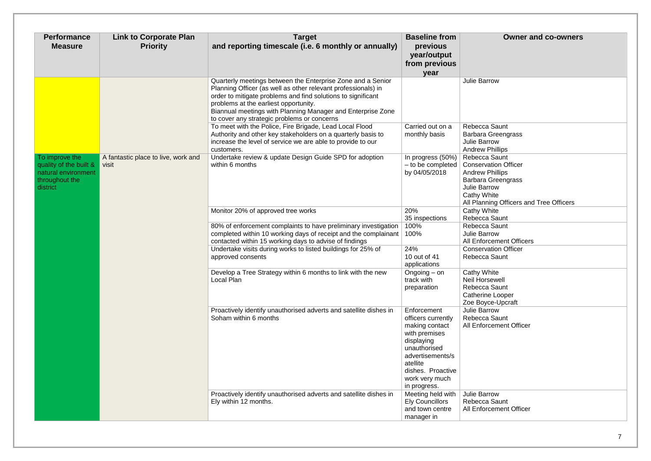| <b>Performance</b><br><b>Measure</b>                                                          | <b>Link to Corporate Plan</b><br><b>Priority</b> | <b>Target</b><br>and reporting timescale (i.e. 6 monthly or annually)                                                                                                                                                                                                                                                                               | <b>Baseline from</b><br>previous<br>year/output<br>from previous<br>year                                                                                                                  | <b>Owner and co-owners</b>                                                                                                                                                                                              |
|-----------------------------------------------------------------------------------------------|--------------------------------------------------|-----------------------------------------------------------------------------------------------------------------------------------------------------------------------------------------------------------------------------------------------------------------------------------------------------------------------------------------------------|-------------------------------------------------------------------------------------------------------------------------------------------------------------------------------------------|-------------------------------------------------------------------------------------------------------------------------------------------------------------------------------------------------------------------------|
|                                                                                               |                                                  | Quarterly meetings between the Enterprise Zone and a Senior<br>Planning Officer (as well as other relevant professionals) in<br>order to mitigate problems and find solutions to significant<br>problems at the earliest opportunity.<br>Biannual meetings with Planning Manager and Enterprise Zone<br>to cover any strategic problems or concerns |                                                                                                                                                                                           | <b>Julie Barrow</b>                                                                                                                                                                                                     |
|                                                                                               |                                                  | To meet with the Police, Fire Brigade, Lead Local Flood<br>Authority and other key stakeholders on a quarterly basis to<br>increase the level of service we are able to provide to our<br>customers.                                                                                                                                                | Carried out on a<br>monthly basis                                                                                                                                                         | <b>Rebecca Saunt</b><br><b>Barbara Greengrass</b><br>Julie Barrow<br><b>Andrew Phillips</b>                                                                                                                             |
| To improve the<br>quality of the built &<br>natural environment<br>throughout the<br>district | A fantastic place to live, work and<br>visit     | Undertake review & update Design Guide SPD for adoption<br>within 6 months                                                                                                                                                                                                                                                                          | In progress (50%)<br>by 04/05/2018                                                                                                                                                        | <b>Rebecca Saunt</b><br>$-$ to be completed $\vert$ Conservation Officer<br><b>Andrew Phillips</b><br><b>Barbara Greengrass</b><br><b>Julie Barrow</b><br><b>Cathy White</b><br>All Planning Officers and Tree Officers |
|                                                                                               |                                                  | Monitor 20% of approved tree works                                                                                                                                                                                                                                                                                                                  | 20%<br>35 inspections                                                                                                                                                                     | <b>Cathy White</b><br><b>Rebecca Saunt</b>                                                                                                                                                                              |
|                                                                                               |                                                  | 80% of enforcement complaints to have preliminary investigation<br>completed within 10 working days of receipt and the complainant<br>contacted within 15 working days to advise of findings                                                                                                                                                        | 100%<br>100%                                                                                                                                                                              | <b>Rebecca Saunt</b><br><b>Julie Barrow</b><br><b>All Enforcement Officers</b>                                                                                                                                          |
|                                                                                               |                                                  | Undertake visits during works to listed buildings for 25% of<br>approved consents                                                                                                                                                                                                                                                                   | 24%<br>10 out of 41<br>applications                                                                                                                                                       | <b>Conservation Officer</b><br><b>Rebecca Saunt</b>                                                                                                                                                                     |
|                                                                                               |                                                  | Develop a Tree Strategy within 6 months to link with the new<br>Local Plan                                                                                                                                                                                                                                                                          | Ongoing $-$ on<br>track with<br>preparation                                                                                                                                               | <b>Cathy White</b><br><b>Neil Horsewell</b><br>Rebecca Saunt<br><b>Catherine Looper</b><br>Zoe Boyce-Upcraft                                                                                                            |
|                                                                                               |                                                  | Proactively identify unauthorised adverts and satellite dishes in<br>Soham within 6 months                                                                                                                                                                                                                                                          | Enforcement<br>officers currently<br>making contact<br>with premises<br>displaying<br>unauthorised<br>advertisements/s<br>atellite<br>dishes. Proactive<br>work very much<br>in progress. | Julie Barrow<br>Rebecca Saunt<br>All Enforcement Officer                                                                                                                                                                |
|                                                                                               |                                                  | Proactively identify unauthorised adverts and satellite dishes in<br>Ely within 12 months.                                                                                                                                                                                                                                                          | Meeting held with<br><b>Ely Councillors</b><br>and town centre<br>manager in                                                                                                              | Julie Barrow<br><b>Rebecca Saunt</b><br><b>All Enforcement Officer</b>                                                                                                                                                  |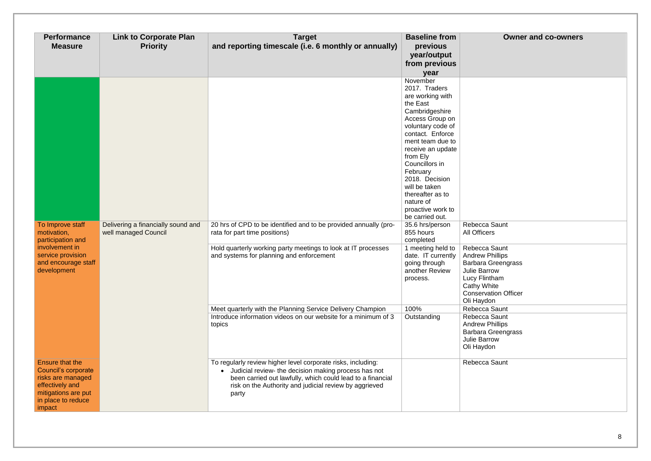### 8

## **Owner and co-owners**

| <b>Performance</b><br><b>Measure</b>                                                                                                         | <b>Link to Corporate Plan</b><br><b>Priority</b>           | <b>Target</b><br>and reporting timescale (i.e. 6 monthly or annually)                                                                                                                                                                                 | <b>Baseline from</b><br>previous<br>year/output<br>from previous<br>year                                                                                                                                                                                                                                                                                                                                                                                                      | $\mathbf O$                                                                                                                                                                                             |
|----------------------------------------------------------------------------------------------------------------------------------------------|------------------------------------------------------------|-------------------------------------------------------------------------------------------------------------------------------------------------------------------------------------------------------------------------------------------------------|-------------------------------------------------------------------------------------------------------------------------------------------------------------------------------------------------------------------------------------------------------------------------------------------------------------------------------------------------------------------------------------------------------------------------------------------------------------------------------|---------------------------------------------------------------------------------------------------------------------------------------------------------------------------------------------------------|
| To Improve staff<br>motivation,<br>participation and<br>involvement in<br>service provision<br>and encourage staff<br>development            | Delivering a financially sound and<br>well managed Council | 20 hrs of CPD to be identified and to be provided annually (pro-<br>rata for part time positions)<br>Hold quarterly working party meetings to look at IT processes<br>and systems for planning and enforcement                                        | November<br>2017. Traders<br>are working with<br>the East<br>Cambridgeshire<br>Access Group on<br>voluntary code of<br>contact. Enforce<br>ment team due to<br>receive an update<br>from Ely<br>Councillors in<br>February<br>2018. Decision<br>will be taken<br>thereafter as to<br>nature of<br>proactive work to<br>be carried out.<br>35.6 hrs/person<br>855 hours<br>completed<br>1 meeting held to<br>date. IT currently<br>going through<br>another Review<br>process. | Rebecca Saunt<br><b>All Officers</b><br>Rebecca Saunt<br><b>Andrew Phillips</b><br>Barbara Greeng<br><b>Julie Barrow</b><br>Lucy Flintham<br><b>Cathy White</b><br><b>Conservation Of</b><br>Oli Haydon |
|                                                                                                                                              |                                                            | Meet quarterly with the Planning Service Delivery Champion<br>Introduce information videos on our website for a minimum of 3<br>topics                                                                                                                | 100%<br>Outstanding                                                                                                                                                                                                                                                                                                                                                                                                                                                           | Rebecca Saunt<br>Rebecca Saunt<br><b>Andrew Phillips</b><br><b>Barbara Greeng</b><br>Julie Barrow<br>Oli Haydon                                                                                         |
| <b>Ensure that the</b><br>Council's corporate<br>risks are managed<br>effectively and<br>mitigations are put<br>in place to reduce<br>impact |                                                            | To regularly review higher level corporate risks, including:<br>Judicial review- the decision making process has not<br>been carried out lawfully, which could lead to a financial<br>risk on the Authority and judicial review by aggrieved<br>party |                                                                                                                                                                                                                                                                                                                                                                                                                                                                               | Rebecca Saunt                                                                                                                                                                                           |

| Rebecca Saunt               |  |
|-----------------------------|--|
| <b>All Officers</b>         |  |
| Rebecca Saunt               |  |
| <b>Andrew Phillips</b>      |  |
| Barbara Greengrass          |  |
| <b>Julie Barrow</b>         |  |
| <b>Lucy Flintham</b>        |  |
| <b>Cathy White</b>          |  |
| <b>Conservation Officer</b> |  |
| Oli Haydon                  |  |
| Rebecca Saunt               |  |
| Rebecca Saunt               |  |
| <b>Andrew Phillips</b>      |  |
| <b>Barbara Greengrass</b>   |  |
| <b>Julie Barrow</b>         |  |
| Oli Haydon                  |  |
| Rebecca Saunt               |  |